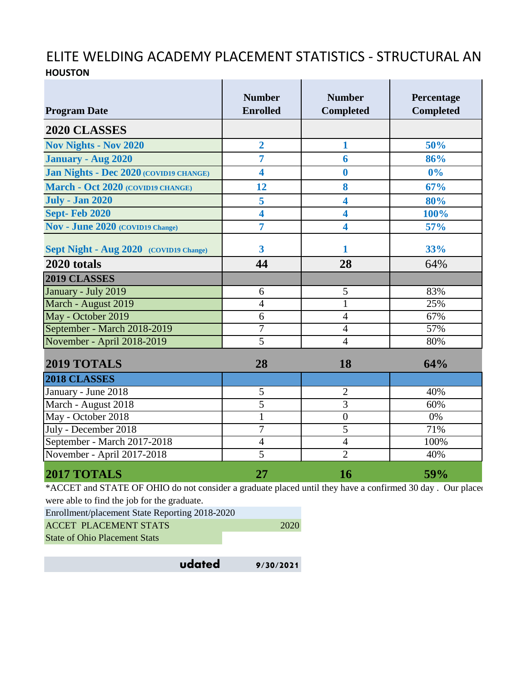## ELITE WELDING ACADEMY PLACEMENT STATISTICS - STRUCTURAL AN **HOUSTON** the contract of the contract of the contract of **Contract** Ť.

| <b>Program Date</b>                                                                                                                                                                                                                                                                                                                                                                                                                             | <b>Number</b><br><b>Enrolled</b> | <b>Number</b><br><b>Completed</b> | Percentage<br><b>Completed</b> |
|-------------------------------------------------------------------------------------------------------------------------------------------------------------------------------------------------------------------------------------------------------------------------------------------------------------------------------------------------------------------------------------------------------------------------------------------------|----------------------------------|-----------------------------------|--------------------------------|
| 2020 CLASSES                                                                                                                                                                                                                                                                                                                                                                                                                                    |                                  |                                   |                                |
| <b>Nov Nights - Nov 2020</b>                                                                                                                                                                                                                                                                                                                                                                                                                    | $\overline{2}$                   | $\mathbf{1}$                      | 50%                            |
| <b>January - Aug 2020</b>                                                                                                                                                                                                                                                                                                                                                                                                                       | $\overline{7}$                   | 6                                 | 86%                            |
| Jan Nights - Dec 2020 (COVID19 CHANGE)                                                                                                                                                                                                                                                                                                                                                                                                          | 4                                | $\boldsymbol{0}$                  | $0\%$                          |
| March - Oct 2020 (COVID19 CHANGE)                                                                                                                                                                                                                                                                                                                                                                                                               | 12                               | 8                                 | 67%                            |
| <b>July - Jan 2020</b>                                                                                                                                                                                                                                                                                                                                                                                                                          | 5                                | $\overline{\mathbf{4}}$           | 80%                            |
| <b>Sept-Feb 2020</b>                                                                                                                                                                                                                                                                                                                                                                                                                            | 4                                | 4                                 | 100%                           |
| Nov - June 2020 (COVID19 Change)                                                                                                                                                                                                                                                                                                                                                                                                                | $\overline{7}$                   | 4                                 | 57%                            |
| Sept Night - Aug 2020 (COVID19 Change)                                                                                                                                                                                                                                                                                                                                                                                                          | 3                                | 1                                 | 33%                            |
| 2020 totals                                                                                                                                                                                                                                                                                                                                                                                                                                     | 44                               | 28                                | 64%                            |
| 2019 CLASSES                                                                                                                                                                                                                                                                                                                                                                                                                                    |                                  |                                   |                                |
| January - July 2019                                                                                                                                                                                                                                                                                                                                                                                                                             | 6                                | 5                                 | 83%                            |
| March - August 2019                                                                                                                                                                                                                                                                                                                                                                                                                             | $\overline{4}$                   | $\mathbf{1}$                      | 25%                            |
| May - October 2019                                                                                                                                                                                                                                                                                                                                                                                                                              | 6                                | $\overline{4}$                    | 67%                            |
| September - March 2018-2019                                                                                                                                                                                                                                                                                                                                                                                                                     | 7                                | $\overline{4}$                    | 57%                            |
| November - April 2018-2019                                                                                                                                                                                                                                                                                                                                                                                                                      | $\overline{5}$                   | $\overline{4}$                    | 80%                            |
| 2019 TOTALS                                                                                                                                                                                                                                                                                                                                                                                                                                     | 28                               | 18                                | 64%                            |
| 2018 CLASSES                                                                                                                                                                                                                                                                                                                                                                                                                                    |                                  |                                   |                                |
| January - June 2018                                                                                                                                                                                                                                                                                                                                                                                                                             | $\overline{5}$                   | $\overline{2}$                    | 40%                            |
| March - August 2018                                                                                                                                                                                                                                                                                                                                                                                                                             | $\overline{5}$                   | 3                                 | 60%                            |
| May - October 2018                                                                                                                                                                                                                                                                                                                                                                                                                              |                                  | $\overline{0}$                    | 0%                             |
| July - December 2018                                                                                                                                                                                                                                                                                                                                                                                                                            | 7                                | $\overline{5}$                    | 71%                            |
| September - March 2017-2018                                                                                                                                                                                                                                                                                                                                                                                                                     | $\overline{4}$                   | $\overline{4}$                    | 100%                           |
| November - April 2017-2018                                                                                                                                                                                                                                                                                                                                                                                                                      | $\overline{5}$                   | $\overline{2}$                    | 40%                            |
| 2017 TOTALS                                                                                                                                                                                                                                                                                                                                                                                                                                     | 27                               | <b>16</b>                         | 59%                            |
| *ACCET and STATE OF OHIO do not consider a graduate placed until they have a confirmed 30 day. Our placed<br>$\mathbf{1}$ $\mathbf{1}$ $\mathbf{1}$ $\mathbf{1}$ $\mathbf{1}$ $\mathbf{1}$ $\mathbf{1}$ $\mathbf{1}$ $\mathbf{1}$ $\mathbf{1}$ $\mathbf{1}$ $\mathbf{1}$ $\mathbf{1}$ $\mathbf{1}$ $\mathbf{1}$ $\mathbf{1}$ $\mathbf{1}$ $\mathbf{1}$ $\mathbf{1}$ $\mathbf{1}$ $\mathbf{1}$ $\mathbf{1}$ $\mathbf{1}$ $\mathbf{1}$ $\mathbf{$ |                                  |                                   |                                |

were able to find the job for the graduate. Enrollment/placement State Reporting 2018-2020

| Enrollment/placement State Reporting 2018-2020 |      |
|------------------------------------------------|------|
| <b>ACCET PLACEMENT STATS</b>                   | 2020 |
| <b>State of Ohio Placement Stats</b>           |      |

| udated | 9/30/2021 |
|--------|-----------|
|--------|-----------|